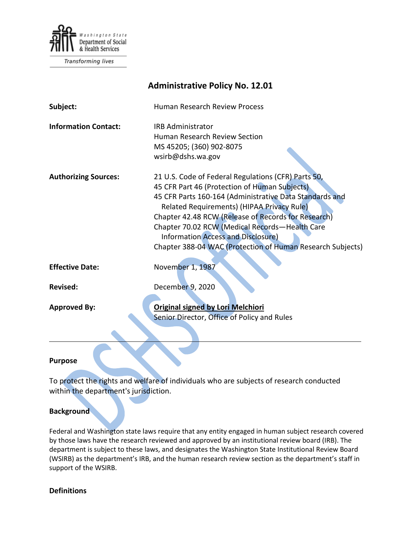

**Transforming lives** 

| <b>Administrative Policy No. 12.01</b> |                                                                                                                                                                                                                                                                                                                                                                                                                                   |
|----------------------------------------|-----------------------------------------------------------------------------------------------------------------------------------------------------------------------------------------------------------------------------------------------------------------------------------------------------------------------------------------------------------------------------------------------------------------------------------|
| Subject:                               | <b>Human Research Review Process</b>                                                                                                                                                                                                                                                                                                                                                                                              |
| <b>Information Contact:</b>            | <b>IRB Administrator</b><br><b>Human Research Review Section</b>                                                                                                                                                                                                                                                                                                                                                                  |
|                                        | MS 45205; (360) 902-8075<br>wsirb@dshs.wa.gov                                                                                                                                                                                                                                                                                                                                                                                     |
| <b>Authorizing Sources:</b>            | 21 U.S. Code of Federal Regulations (CFR) Parts 50,<br>45 CFR Part 46 (Protection of Human Subjects)<br>45 CFR Parts 160-164 (Administrative Data Standards and<br>Related Requirements) (HIPAA Privacy Rule)<br>Chapter 42.48 RCW (Release of Records for Research)<br>Chapter 70.02 RCW (Medical Records-Health Care<br><b>Information Access and Disclosure)</b><br>Chapter 388-04 WAC (Protection of Human Research Subjects) |
| <b>Effective Date:</b>                 | November 1, 1987                                                                                                                                                                                                                                                                                                                                                                                                                  |
| <b>Revised:</b>                        | December 9, 2020                                                                                                                                                                                                                                                                                                                                                                                                                  |
| <b>Approved By:</b>                    | <b>Original signed by Lori Melchiori</b><br>Senior Director, Office of Policy and Rules                                                                                                                                                                                                                                                                                                                                           |
|                                        |                                                                                                                                                                                                                                                                                                                                                                                                                                   |

#### **Purpose**

To protect the rights and welfare of individuals who are subjects of research conducted within the department's jurisdiction.

### **Background**

Federal and Washington state laws require that any entity engaged in human subject research covered by those laws have the research reviewed and approved by an institutional review board (IRB). The department is subject to these laws, and designates the Washington State Institutional Review Board (WSIRB) as the department's IRB, and the human research review section as the department's staff in support of the WSIRB.

#### **Definitions**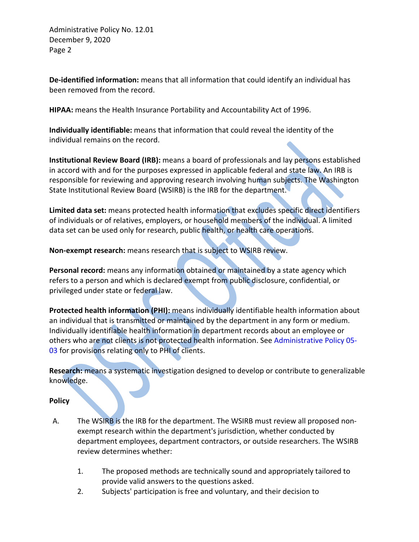Administrative Policy No. 12.01 December 9, 2020 Page 2

**De-identified information:** means that all information that could identify an individual has been removed from the record.

**HIPAA:** means the Health Insurance Portability and Accountability Act of 1996.

**Individually identifiable:** means that information that could reveal the identity of the individual remains on the record.

**Institutional Review Board (IRB):** means a board of professionals and lay persons established in accord with and for the purposes expressed in applicable federal and state law. An IRB is responsible for reviewing and approving research involving human subjects. The Washington State Institutional Review Board (WSIRB) is the IRB for the department.

**Limited data set:** means protected health information that excludes specific direct identifiers of individuals or of relatives, employers, or household members of the individual. A limited data set can be used only for research, public health, or health care operations.

**Non-exempt research:** means research that is subject to WSIRB review.

**Personal record:** means any information obtained or maintained by a state agency which refers to a person and which is declared exempt from public disclosure, confidential, or privileged under state or federal law.

**Protected health information (PHI):** means individually identifiable health information about an individual that is transmitted or maintained by the department in any form or medium. Individually identifiable health information in department records about an employee or others who are not clients is not protected health information. Se[e Administrative Policy 05-](http://one.dshs.wa.lcl/Policies/Administrative/DSHS-AP-05-03.pdf) [03](http://one.dshs.wa.lcl/Policies/Administrative/DSHS-AP-05-03.pdf) for provisions relating only to PHI of clients.

**Research:** means a systematic investigation designed to develop or contribute to generalizable knowledge.

# **Policy**

- A. The WSIRB is the IRB for the department. The WSIRB must review all proposed nonexempt research within the department's jurisdiction, whether conducted by department employees, department contractors, or outside researchers. The WSIRB review determines whether:
	- 1. The proposed methods are technically sound and appropriately tailored to provide valid answers to the questions asked.
	- 2. Subjects' participation is free and voluntary, and their decision to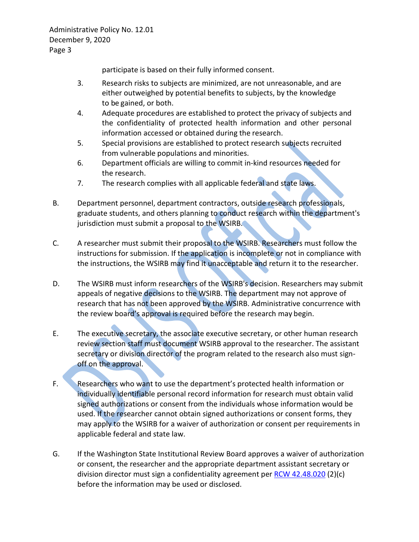participate is based on their fully informed consent.

- 3. Research risks to subjects are minimized, are not unreasonable, and are either outweighed by potential benefits to subjects, by the knowledge to be gained, or both.
- 4. Adequate procedures are established to protect the privacy of subjects and the confidentiality of protected health information and other personal information accessed or obtained during the research.
- 5. Special provisions are established to protect research subjects recruited from vulnerable populations and minorities.
- 6. Department officials are willing to commit in-kind resources needed for the research.
- 7. The research complies with all applicable federal and state laws.
- B. Department personnel, department contractors, outside research professionals, graduate students, and others planning to conduct research within the department's jurisdiction must submit a proposal to the WSIRB.
- C. A researcher must submit their proposal to the WSIRB. Researchers must follow the instructions for submission. If the application is incomplete or not in compliance with the instructions, the WSIRB may find it unacceptable and return it to the researcher.
- D. The WSIRB must inform researchers of the WSIRB's decision. Researchers may submit appeals of negative decisions to the WSIRB. The department may not approve of research that has not been approved by the WSIRB. Administrative concurrence with the review board's approval is required before the research may begin.
- E. The executive secretary, the associate executive secretary, or other human research review section staff must document WSIRB approval to the researcher. The assistant secretary or division director of the program related to the research also must signoff on the approval.
- F. Researchers who want to use the department's protected health information or individually identifiable personal record information for research must obtain valid signed authorizations or consent from the individuals whose information would be used. If the researcher cannot obtain signed authorizations or consent forms, they may apply to the WSIRB for a waiver of authorization or consent per requirements in applicable federal and state law.
- G. If the Washington State Institutional Review Board approves a waiver of authorization or consent, the researcher and the appropriate department assistant secretary or division director must sign a confidentiality agreement per RCW 42.48.020 (2)(c) before the information may be used or disclosed.